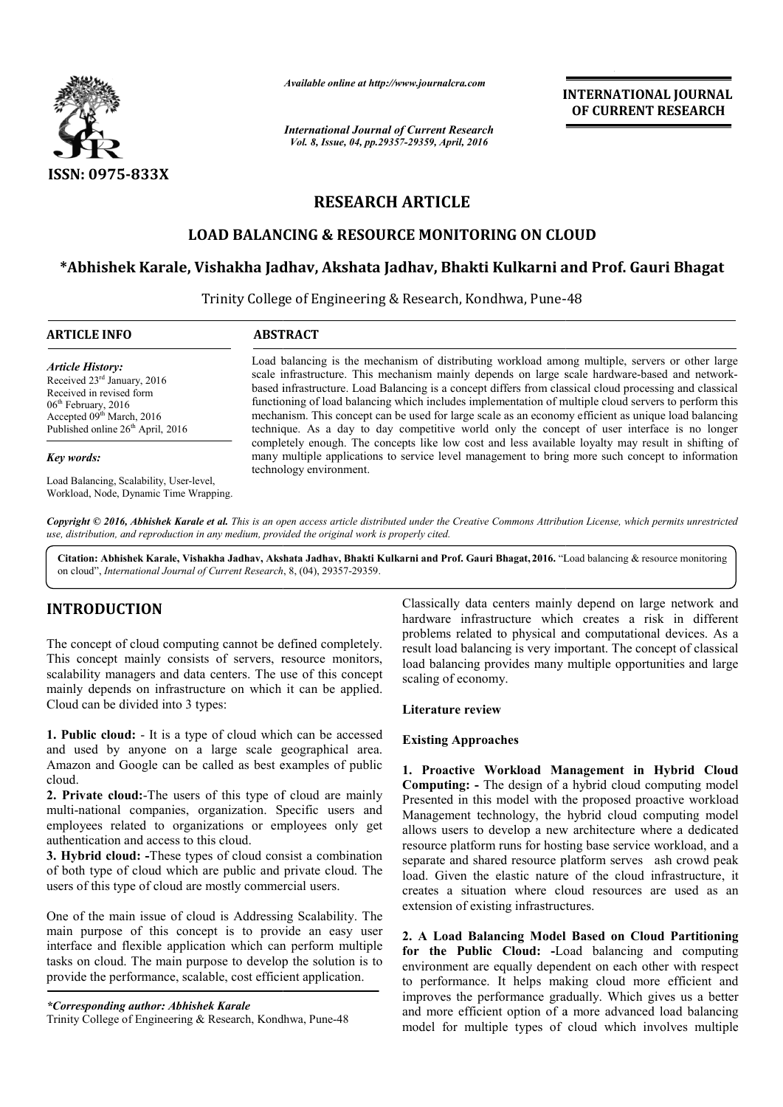

*Available online at http://www.journalcra.com*

# **RESEARCH ARTICLE**

# **LOAD BALANCING & RESOURCE MONITORING ON CLOUD CLOUD**

## **\*Abhishek Karale, Vishakha Jadhav, Akshata Jadhav, Bhakti Kulkarni Abhishek and Prof. Gauri Bhagat**

|                                                                                                                                                                                                                                                                                                                                                                                                                                                                                                                                                                                                                                    | лтаните опине игнир.//www.journatera.com<br><b>International Journal of Current Research</b>                                                                                                                                                                                                                                                                                                                                                                                                                                                                                                                                                                                                                                                                                                                                                                       | <b>INTERNATIONAL JOURNAL</b><br>OF CURRENT RESEARCH                                                                                                                                                                                                                                                                                                                                                                                                                                                                                                                                                                |
|------------------------------------------------------------------------------------------------------------------------------------------------------------------------------------------------------------------------------------------------------------------------------------------------------------------------------------------------------------------------------------------------------------------------------------------------------------------------------------------------------------------------------------------------------------------------------------------------------------------------------------|--------------------------------------------------------------------------------------------------------------------------------------------------------------------------------------------------------------------------------------------------------------------------------------------------------------------------------------------------------------------------------------------------------------------------------------------------------------------------------------------------------------------------------------------------------------------------------------------------------------------------------------------------------------------------------------------------------------------------------------------------------------------------------------------------------------------------------------------------------------------|--------------------------------------------------------------------------------------------------------------------------------------------------------------------------------------------------------------------------------------------------------------------------------------------------------------------------------------------------------------------------------------------------------------------------------------------------------------------------------------------------------------------------------------------------------------------------------------------------------------------|
|                                                                                                                                                                                                                                                                                                                                                                                                                                                                                                                                                                                                                                    | Vol. 8, Issue, 04, pp.29357-29359, April, 2016                                                                                                                                                                                                                                                                                                                                                                                                                                                                                                                                                                                                                                                                                                                                                                                                                     |                                                                                                                                                                                                                                                                                                                                                                                                                                                                                                                                                                                                                    |
| ISSN: 0975-833X                                                                                                                                                                                                                                                                                                                                                                                                                                                                                                                                                                                                                    |                                                                                                                                                                                                                                                                                                                                                                                                                                                                                                                                                                                                                                                                                                                                                                                                                                                                    |                                                                                                                                                                                                                                                                                                                                                                                                                                                                                                                                                                                                                    |
|                                                                                                                                                                                                                                                                                                                                                                                                                                                                                                                                                                                                                                    | <b>RESEARCH ARTICLE</b>                                                                                                                                                                                                                                                                                                                                                                                                                                                                                                                                                                                                                                                                                                                                                                                                                                            |                                                                                                                                                                                                                                                                                                                                                                                                                                                                                                                                                                                                                    |
|                                                                                                                                                                                                                                                                                                                                                                                                                                                                                                                                                                                                                                    |                                                                                                                                                                                                                                                                                                                                                                                                                                                                                                                                                                                                                                                                                                                                                                                                                                                                    | <b>LOAD BALANCING &amp; RESOURCE MONITORING ON CLOUD</b>                                                                                                                                                                                                                                                                                                                                                                                                                                                                                                                                                           |
|                                                                                                                                                                                                                                                                                                                                                                                                                                                                                                                                                                                                                                    |                                                                                                                                                                                                                                                                                                                                                                                                                                                                                                                                                                                                                                                                                                                                                                                                                                                                    | *Abhishek Karale, Vishakha Jadhav, Akshata Jadhav, Bhakti Kulkarni and Prof. Gauri Bhagat                                                                                                                                                                                                                                                                                                                                                                                                                                                                                                                          |
|                                                                                                                                                                                                                                                                                                                                                                                                                                                                                                                                                                                                                                    |                                                                                                                                                                                                                                                                                                                                                                                                                                                                                                                                                                                                                                                                                                                                                                                                                                                                    | Trinity College of Engineering & Research, Kondhwa, Pune-48                                                                                                                                                                                                                                                                                                                                                                                                                                                                                                                                                        |
| <b>ARTICLE INFO</b>                                                                                                                                                                                                                                                                                                                                                                                                                                                                                                                                                                                                                | <b>ABSTRACT</b>                                                                                                                                                                                                                                                                                                                                                                                                                                                                                                                                                                                                                                                                                                                                                                                                                                                    |                                                                                                                                                                                                                                                                                                                                                                                                                                                                                                                                                                                                                    |
| <b>Article History:</b><br>Received 23 <sup>rd</sup> January, 2016<br>Received in revised form<br>06 <sup>th</sup> February, 2016<br>Accepted 09 <sup>th</sup> March, 2016<br>Published online 26 <sup>th</sup> April, 2016                                                                                                                                                                                                                                                                                                                                                                                                        | Load balancing is the mechanism of distributing workload among multiple, servers or other large<br>scale infrastructure. This mechanism mainly depends on large scale hardware-based and network-<br>based infrastructure. Load Balancing is a concept differs from classical cloud processing and classical<br>functioning of load balancing which includes implementation of multiple cloud servers to perform this<br>mechanism. This concept can be used for large scale as an economy efficient as unique load balancing<br>technique. As a day to day competitive world only the concept of user interface is no longer<br>completely enough. The concepts like low cost and less available loyalty may result in shifting of<br>many multiple applications to service level management to bring more such concept to information<br>technology environment. |                                                                                                                                                                                                                                                                                                                                                                                                                                                                                                                                                                                                                    |
| <b>Key words:</b>                                                                                                                                                                                                                                                                                                                                                                                                                                                                                                                                                                                                                  |                                                                                                                                                                                                                                                                                                                                                                                                                                                                                                                                                                                                                                                                                                                                                                                                                                                                    |                                                                                                                                                                                                                                                                                                                                                                                                                                                                                                                                                                                                                    |
| Load Balancing, Scalability, User-level,<br>Workload, Node, Dynamic Time Wrapping.                                                                                                                                                                                                                                                                                                                                                                                                                                                                                                                                                 |                                                                                                                                                                                                                                                                                                                                                                                                                                                                                                                                                                                                                                                                                                                                                                                                                                                                    |                                                                                                                                                                                                                                                                                                                                                                                                                                                                                                                                                                                                                    |
| use, distribution, and reproduction in any medium, provided the original work is properly cited.                                                                                                                                                                                                                                                                                                                                                                                                                                                                                                                                   |                                                                                                                                                                                                                                                                                                                                                                                                                                                                                                                                                                                                                                                                                                                                                                                                                                                                    | Copyright © 2016, Abhishek Karale et al. This is an open access article distributed under the Creative Commons Attribution License, which permits unrestricted<br>Citation: Abhishek Karale, Vishakha Jadhav, Akshata Jadhav, Bhakti Kulkarni and Prof. Gauri Bhagat, 2016. "Load balancing & resource monitoring                                                                                                                                                                                                                                                                                                  |
| on cloud", International Journal of Current Research, 8, (04), 29357-29359.                                                                                                                                                                                                                                                                                                                                                                                                                                                                                                                                                        |                                                                                                                                                                                                                                                                                                                                                                                                                                                                                                                                                                                                                                                                                                                                                                                                                                                                    |                                                                                                                                                                                                                                                                                                                                                                                                                                                                                                                                                                                                                    |
| <b>INTRODUCTION</b><br>The concept of cloud computing cannot be defined completely.<br>This concept mainly consists of servers, resource monitors,<br>scalability managers and data centers. The use of this concept<br>mainly depends on infrastructure on which it can be applied.<br>Cloud can be divided into 3 types:                                                                                                                                                                                                                                                                                                         |                                                                                                                                                                                                                                                                                                                                                                                                                                                                                                                                                                                                                                                                                                                                                                                                                                                                    | Classically data centers mainly depend on large network and<br>hardware infrastructure which creates a risk in different<br>problems related to physical and computational devices. As a<br>result load balancing is very important. The concept of classical<br>load balancing provides many multiple opportunities and large<br>scaling of economy.<br>Literature review                                                                                                                                                                                                                                         |
| <b>1. Public cloud:</b> - It is a type of cloud which can be accessed                                                                                                                                                                                                                                                                                                                                                                                                                                                                                                                                                              |                                                                                                                                                                                                                                                                                                                                                                                                                                                                                                                                                                                                                                                                                                                                                                                                                                                                    | <b>Existing Approaches</b>                                                                                                                                                                                                                                                                                                                                                                                                                                                                                                                                                                                         |
| and used by anyone on a large scale geographical area.<br>Amazon and Google can be called as best examples of public<br>cloud.<br>2. Private cloud: The users of this type of cloud are mainly<br>multi-national companies, organization. Specific users and<br>employees related to organizations or employees only get<br>authentication and access to this cloud.<br>3. Hybrid cloud: -These types of cloud consist a combination<br>of both type of cloud which are public and private cloud. The<br>users of this type of cloud are mostly commercial users.<br>One of the main issue of cloud is Addressing Scalability. The |                                                                                                                                                                                                                                                                                                                                                                                                                                                                                                                                                                                                                                                                                                                                                                                                                                                                    | 1. Proactive Workload Management in Hybrid Cloud<br>Computing: - The design of a hybrid cloud computing model<br>Presented in this model with the proposed proactive workload<br>Management technology, the hybrid cloud computing model<br>allows users to develop a new architecture where a dedicated<br>resource platform runs for hosting base service workload, and a<br>separate and shared resource platform serves ash crowd peak<br>load. Given the elastic nature of the cloud infrastructure, it<br>creates a situation where cloud resources are used as an<br>extension of existing infrastructures. |
| main purpose of this concept is to provide an easy user<br>interface and flexible application which can perform multiple<br>tasks on cloud. The main purpose to develop the solution is to<br>provide the performance, scalable, cost efficient application.                                                                                                                                                                                                                                                                                                                                                                       |                                                                                                                                                                                                                                                                                                                                                                                                                                                                                                                                                                                                                                                                                                                                                                                                                                                                    | 2. A Load Balancing Model Based on Cloud Partitioning<br>for the Public Cloud: -Load balancing and computing<br>environment are equally dependent on each other with respect<br>to performance. It helps making cloud more efficient and<br>improves the performance gradually. Which gives us a better                                                                                                                                                                                                                                                                                                            |
| *Corresponding author: Abhishek Karale<br>Trinity College of Engineering & Research, Kondhwa, Pune-48                                                                                                                                                                                                                                                                                                                                                                                                                                                                                                                              |                                                                                                                                                                                                                                                                                                                                                                                                                                                                                                                                                                                                                                                                                                                                                                                                                                                                    | and more efficient option of a more advanced load balancing<br>model for multiple types of cloud which involves multiple                                                                                                                                                                                                                                                                                                                                                                                                                                                                                           |

## **INTRODUCTION**

#### *\*Corresponding author: Abhishek Karale*

#### **Literature review**

#### **Existing Approaches**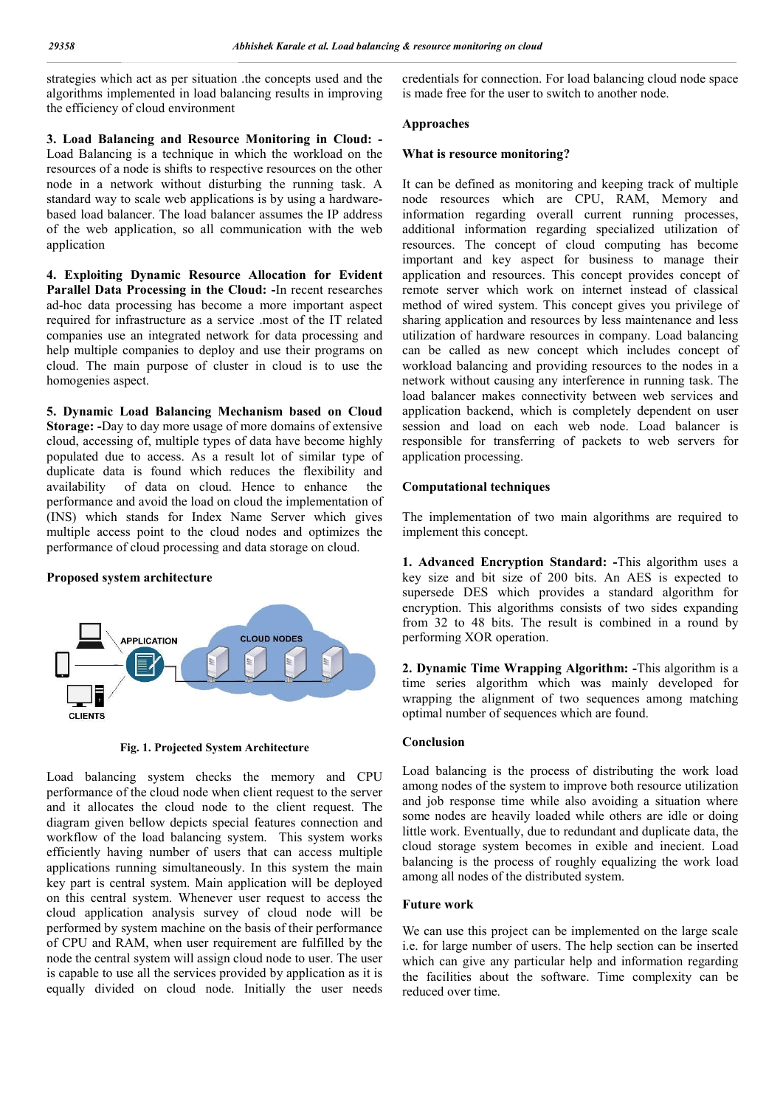strategies which act as per situation .the concepts used and the algorithms implemented in load balancing results in improving the efficiency of cloud environment

**3. Load Balancing and Resource Monitoring in Cloud: -** Load Balancing is a technique in which the workload on the resources of a node is shifts to respective resources on the other node in a network without disturbing the running task. A standard way to scale web applications is by using a hardwarebased load balancer. The load balancer assumes the IP address of the web application, so all communication with the web application

**4. Exploiting Dynamic Resource Allocation for Evident Parallel Data Processing in the Cloud: -**In recent researches ad-hoc data processing has become a more important aspect required for infrastructure as a service .most of the IT related companies use an integrated network for data processing and help multiple companies to deploy and use their programs on cloud. The main purpose of cluster in cloud is to use the homogenies aspect.

**5. Dynamic Load Balancing Mechanism based on Cloud Storage: -**Day to day more usage of more domains of extensive cloud, accessing of, multiple types of data have become highly populated due to access. As a result lot of similar type of duplicate data is found which reduces the flexibility and availability of data on cloud. Hence to enhance the performance and avoid the load on cloud the implementation of (INS) which stands for Index Name Server which gives multiple access point to the cloud nodes and optimizes the performance of cloud processing and data storage on cloud.

#### **Proposed system architecture**



**Fig. 1. Projected System Architecture**

Load balancing system checks the memory and CPU performance of the cloud node when client request to the server and it allocates the cloud node to the client request. The diagram given bellow depicts special features connection and workflow of the load balancing system. This system works efficiently having number of users that can access multiple applications running simultaneously. In this system the main key part is central system. Main application will be deployed on this central system. Whenever user request to access the cloud application analysis survey of cloud node will be performed by system machine on the basis of their performance of CPU and RAM, when user requirement are fulfilled by the node the central system will assign cloud node to user. The user is capable to use all the services provided by application as it is equally divided on cloud node. Initially the user needs

credentials for connection. For load balancing cloud node space is made free for the user to switch to another node.

### **Approaches**

### **What is resource monitoring?**

It can be defined as monitoring and keeping track of multiple node resources which are CPU, RAM, Memory and information regarding overall current running processes, additional information regarding specialized utilization of resources. The concept of cloud computing has become important and key aspect for business to manage their application and resources. This concept provides concept of remote server which work on internet instead of classical method of wired system. This concept gives you privilege of sharing application and resources by less maintenance and less utilization of hardware resources in company. Load balancing can be called as new concept which includes concept of workload balancing and providing resources to the nodes in a network without causing any interference in running task. The load balancer makes connectivity between web services and application backend, which is completely dependent on user session and load on each web node. Load balancer is responsible for transferring of packets to web servers for application processing.

## **Computational techniques**

The implementation of two main algorithms are required to implement this concept.

**1. Advanced Encryption Standard: -**This algorithm uses a key size and bit size of 200 bits. An AES is expected to supersede DES which provides a standard algorithm for encryption. This algorithms consists of two sides expanding from 32 to 48 bits. The result is combined in a round by performing XOR operation.

**2. Dynamic Time Wrapping Algorithm: -**This algorithm is a time series algorithm which was mainly developed for wrapping the alignment of two sequences among matching optimal number of sequences which are found.

## **Conclusion**

Load balancing is the process of distributing the work load among nodes of the system to improve both resource utilization and job response time while also avoiding a situation where some nodes are heavily loaded while others are idle or doing little work. Eventually, due to redundant and duplicate data, the cloud storage system becomes in exible and inecient. Load balancing is the process of roughly equalizing the work load among all nodes of the distributed system.

## **Future work**

We can use this project can be implemented on the large scale i.e. for large number of users. The help section can be inserted which can give any particular help and information regarding the facilities about the software. Time complexity can be reduced over time.